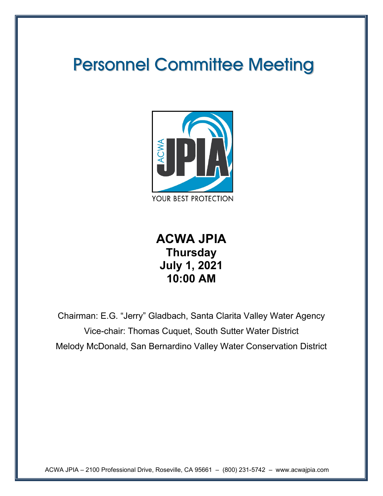# Personnel Committee Meeting



**ACWA JPIA Thursday July 1, 2021 10:00 AM** 

Chairman: E.G. "Jerry" Gladbach, Santa Clarita Valley Water Agency Vice-chair: Thomas Cuquet, South Sutter Water District Melody McDonald, San Bernardino Valley Water Conservation District

ACWA JPIA – 2100 Professional Drive, Roseville, CA 95661 – (800) 231-5742 – www.acwajpia.com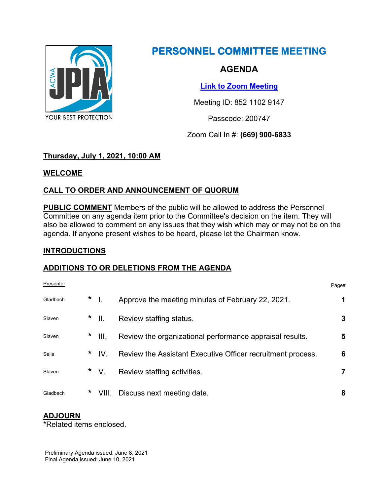

# **PERSONNEL COMMITTEE MEETING**

## **AGENDA**

**[Link to Zoom Meeting](https://us02web.zoom.us/j/85211029147?pwd=VGY4Z1VDTW5QR0hKT1BpSE5GWU0xZz09)**

Meeting ID: 852 1102 9147

Passcode: 200747

Zoom Call In #: **(669) 900-6833**

## **Thursday, July 1, 2021, 10:00 AM**

#### **WELCOME**

## **CALL TO ORDER AND ANNOUNCEMENT OF QUORUM**

**PUBLIC COMMENT** Members of the public will be allowed to address the Personnel Committee on any agenda item prior to the Committee's decision on the item. They will also be allowed to comment on any issues that they wish which may or may not be on the agenda. If anyone present wishes to be heard, please let the Chairman know.

#### **INTRODUCTIONS**

#### **ADDITIONS TO OR DELETIONS FROM THE AGENDA**

| Presenter |   |          |                                                             | Page# |
|-----------|---|----------|-------------------------------------------------------------|-------|
| Gladbach  |   | $*$      | Approve the meeting minutes of February 22, 2021.           |       |
| Slaven    |   | $*$      | Review staffing status.                                     | 3     |
| Slaven    |   | $*$ III. | Review the organizational performance appraisal results.    | 5     |
| Sells     |   | $*$ IV.  | Review the Assistant Executive Officer recruitment process. | 6     |
| Slaven    |   | $*$ V.   | Review staffing activities.                                 | 7     |
| Gladbach  | * |          | VIII. Discuss next meeting date.                            | 8     |

## **ADJOURN**

\*Related items enclosed.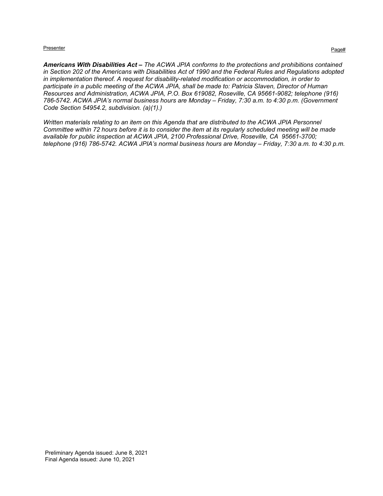#### Presenter Presenter Page that the experiment of the experiment of the experiment of the experiment of the experiment of the experiment of the experiment of the experiment of the experiment of the experiment of the experime

*Americans With Disabilities Act – The ACWA JPIA conforms to the protections and prohibitions contained in Section 202 of the Americans with Disabilities Act of 1990 and the Federal Rules and Regulations adopted in implementation thereof. A request for disability-related modification or accommodation, in order to participate in a public meeting of the ACWA JPIA, shall be made to: Patricia Slaven, Director of Human Resources and Administration, ACWA JPIA, P.O. Box 619082, Roseville, CA 95661-9082; telephone (916) 786-5742. ACWA JPIA's normal business hours are Monday – Friday, 7:30 a.m. to 4:30 p.m. (Government Code Section 54954.2, subdivision. (a)(1).)*

*Written materials relating to an item on this Agenda that are distributed to the ACWA JPIA Personnel Committee within 72 hours before it is to consider the item at its regularly scheduled meeting will be made available for public inspection at ACWA JPIA, 2100 Professional Drive, Roseville, CA 95661-3700; telephone (916) 786-5742. ACWA JPIA's normal business hours are Monday – Friday, 7:30 a.m. to 4:30 p.m.*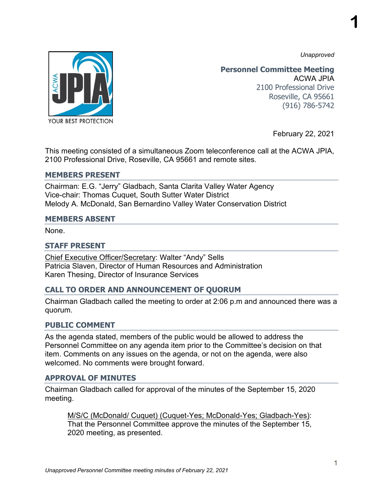*Unapproved*

**1**



**Personnel Committee Meeting** ACWA JPIA 2100 Professional Drive Roseville, CA 95661 (916) 786-5742

February 22, 2021

This meeting consisted of a simultaneous Zoom teleconference call at the ACWA JPIA, 2100 Professional Drive, Roseville, CA 95661 and remote sites.

#### **MEMBERS PRESENT**

Chairman: E.G. "Jerry" Gladbach, Santa Clarita Valley Water Agency Vice-chair: Thomas Cuquet, South Sutter Water District Melody A. McDonald, San Bernardino Valley Water Conservation District

#### **MEMBERS ABSENT**

None.

#### **STAFF PRESENT**

Chief Executive Officer/Secretary: Walter "Andy" Sells Patricia Slaven, Director of Human Resources and Administration Karen Thesing, Director of Insurance Services

#### **CALL TO ORDER AND ANNOUNCEMENT OF QUORUM**

Chairman Gladbach called the meeting to order at 2:06 p.m and announced there was a quorum.

#### **PUBLIC COMMENT**

As the agenda stated, members of the public would be allowed to address the Personnel Committee on any agenda item prior to the Committee's decision on that item. Comments on any issues on the agenda, or not on the agenda, were also welcomed. No comments were brought forward.

#### **APPROVAL OF MINUTES**

Chairman Gladbach called for approval of the minutes of the September 15, 2020 meeting.

M/S/C (McDonald/ Cuquet) (Cuquet-Yes; McDonald-Yes; Gladbach-Yes): That the Personnel Committee approve the minutes of the September 15, 2020 meeting, as presented.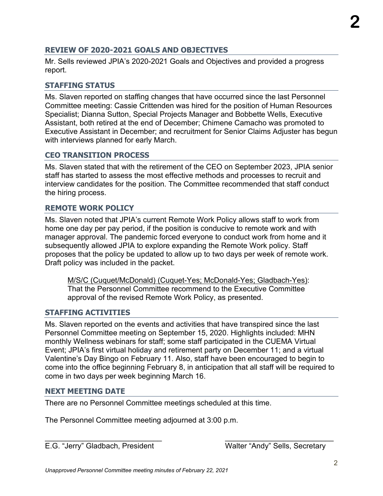## *Unapproved Personnel Committee meeting minutes of February 22, 2021*

#### **REVIEW OF 2020-2021 GOALS AND OBJECTIVES**

Mr. Sells reviewed JPIA's 2020-2021 Goals and Objectives and provided a progress report.

#### **STAFFING STATUS**

Ms. Slaven reported on staffing changes that have occurred since the last Personnel Committee meeting: Cassie Crittenden was hired for the position of Human Resources Specialist; Dianna Sutton, Special Projects Manager and Bobbette Wells, Executive Assistant, both retired at the end of December; Chimene Camacho was promoted to Executive Assistant in December; and recruitment for Senior Claims Adjuster has begun with interviews planned for early March.

#### **CEO TRANSITION PROCESS**

Ms. Slaven stated that with the retirement of the CEO on September 2023, JPIA senior staff has started to assess the most effective methods and processes to recruit and interview candidates for the position. The Committee recommended that staff conduct the hiring process.

#### **REMOTE WORK POLICY**

Ms. Slaven noted that JPIA's current Remote Work Policy allows staff to work from home one day per pay period, if the position is conducive to remote work and with manager approval. The pandemic forced everyone to conduct work from home and it subsequently allowed JPIA to explore expanding the Remote Work policy. Staff proposes that the policy be updated to allow up to two days per week of remote work. Draft policy was included in the packet.

M/S/C (Cuquet/McDonald) (Cuquet-Yes; McDonald-Yes; Gladbach-Yes): That the Personnel Committee recommend to the Executive Committee approval of the revised Remote Work Policy, as presented.

#### **STAFFING ACTIVITIES**

Ms. Slaven reported on the events and activities that have transpired since the last Personnel Committee meeting on September 15, 2020. Highlights included: MHN monthly Wellness webinars for staff; some staff participated in the CUEMA Virtual Event; JPIA's first virtual holiday and retirement party on December 11; and a virtual Valentine's Day Bingo on February 11. Also, staff have been encouraged to begin to come into the office beginning February 8, in anticipation that all staff will be required to come in two days per week beginning March 16.

\_\_\_\_\_\_\_\_\_\_\_\_\_\_\_\_\_\_\_\_\_\_\_\_\_\_\_\_ \_\_\_\_\_\_\_\_\_\_\_\_\_\_\_\_\_\_\_\_\_\_\_\_\_\_

#### **NEXT MEETING DATE**

There are no Personnel Committee meetings scheduled at this time.

The Personnel Committee meeting adjourned at 3:00 p.m.

E.G. "Jerry" Gladbach, President Walter "Andy" Sells, Secretary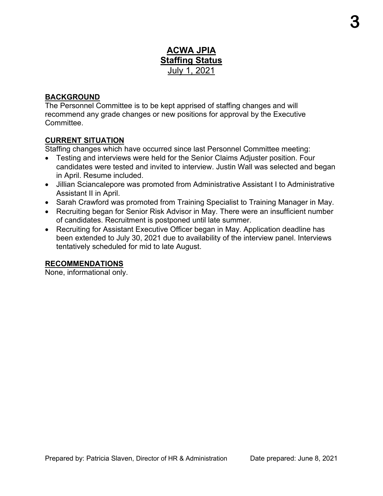## **ACWA JPIA Staffing Status** July 1, 2021

#### **BACKGROUND**

The Personnel Committee is to be kept apprised of staffing changes and will recommend any grade changes or new positions for approval by the Executive Committee.

#### **CURRENT SITUATION**

Staffing changes which have occurred since last Personnel Committee meeting:

- Testing and interviews were held for the Senior Claims Adjuster position. Four candidates were tested and invited to interview. Justin Wall was selected and began in April. Resume included.
- Jillian Sciancalepore was promoted from Administrative Assistant I to Administrative Assistant II in April.
- Sarah Crawford was promoted from Training Specialist to Training Manager in May.
- Recruiting began for Senior Risk Advisor in May. There were an insufficient number of candidates. Recruitment is postponed until late summer.
- Recruiting for Assistant Executive Officer began in May. Application deadline has been extended to July 30, 2021 due to availability of the interview panel. Interviews tentatively scheduled for mid to late August.

#### **RECOMMENDATIONS**

None, informational only.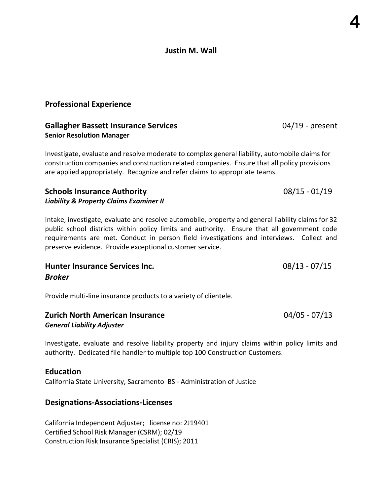#### Justin M. Wall

#### Professional Experience

#### Gallagher Bassett Insurance Services 6.04/19 - present Senior Resolution Manager

Investigate, evaluate and resolve moderate to complex general liability, automobile claims for construction companies and construction related companies. Ensure that all policy provisions are applied appropriately. Recognize and refer claims to appropriate teams.

#### Schools Insurance Authority 08/15 - 01/19 Liability & Property Claims Examiner II

Intake, investigate, evaluate and resolve automobile, property and general liability claims for 32 public school districts within policy limits and authority. Ensure that all government code requirements are met. Conduct in person field investigations and interviews. Collect and preserve evidence. Provide exceptional customer service.

### Hunter Insurance Services Inc. 68/13 - 07/15 Broker

Provide multi-line insurance products to a variety of clientele.

| <b>Zurich North American Insurance</b> | $04/05 - 07/13$ |
|----------------------------------------|-----------------|
| <b>General Liability Adjuster</b>      |                 |

Investigate, evaluate and resolve liability property and injury claims within policy limits and authority. Dedicated file handler to multiple top 100 Construction Customers.

#### **Education**

California State University, Sacramento BS - Administration of Justice

#### Designations-Associations-Licenses

California Independent Adjuster; license no: 2J19401 Certified School Risk Manager (CSRM); 02/19 Construction Risk Insurance Specialist (CRIS); 2011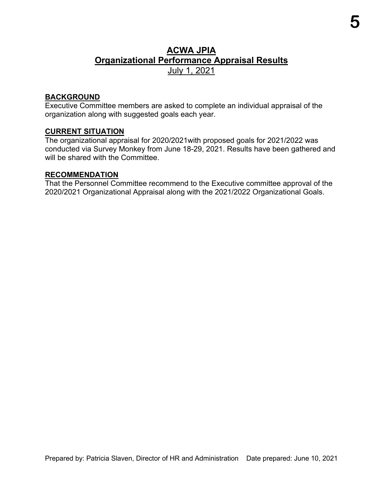## **ACWA JPIA Organizational Performance Appraisal Results**  July 1, 2021

#### **BACKGROUND**

Executive Committee members are asked to complete an individual appraisal of the organization along with suggested goals each year.

#### **CURRENT SITUATION**

The organizational appraisal for 2020/2021with proposed goals for 2021/2022 was conducted via Survey Monkey from June 18-29, 2021. Results have been gathered and will be shared with the Committee.

#### **RECOMMENDATION**

That the Personnel Committee recommend to the Executive committee approval of the 2020/2021 Organizational Appraisal along with the 2021/2022 Organizational Goals.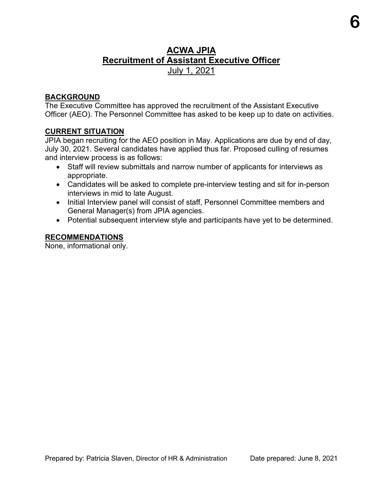## **ACWA JPIA Recruitment of Assistant Executive Officer** July 1, 2021

#### **BACKGROUND**

The Executive Committee has approved the recruitment of the Assistant Executive Officer (AEO). The Personnel Committee has asked to be keep up to date on activities.

#### **CURRENT SITUATION**

JPIA began recruiting for the AEO position in May. Applications are due by end of day, July 30, 2021. Several candidates have applied thus far. Proposed culling of resumes and interview process is as follows:

- Staff will review submittals and narrow number of applicants for interviews as appropriate.
- Candidates will be asked to complete pre-interview testing and sit for in-person interviews in mid to late August.
- Initial Interview panel will consist of staff, Personnel Committee members and General Manager(s) from JPIA agencies.
- Potential subsequent interview style and participants have yet to be determined.

#### **RECOMMENDATIONS**

None, informational only.

**6**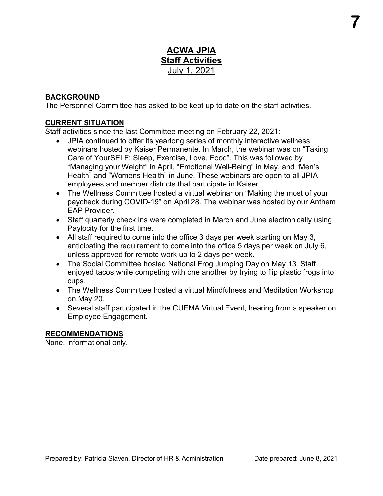## **ACWA JPIA Staff Activities** July 1, 2021

#### **BACKGROUND**

The Personnel Committee has asked to be kept up to date on the staff activities.

#### **CURRENT SITUATION**

Staff activities since the last Committee meeting on February 22, 2021:

- JPIA continued to offer its yearlong series of monthly interactive wellness webinars hosted by Kaiser Permanente. In March, the webinar was on "Taking Care of YourSELF: Sleep, Exercise, Love, Food". This was followed by "Managing your Weight" in April, "Emotional Well-Being" in May, and "Men's Health" and "Womens Health" in June. These webinars are open to all JPIA employees and member districts that participate in Kaiser.
- The Wellness Committee hosted a virtual webinar on "Making the most of your paycheck during COVID-19" on April 28. The webinar was hosted by our Anthem EAP Provider.
- Staff quarterly check ins were completed in March and June electronically using Paylocity for the first time.
- All staff required to come into the office 3 days per week starting on May 3, anticipating the requirement to come into the office 5 days per week on July 6, unless approved for remote work up to 2 days per week.
- The Social Committee hosted National Frog Jumping Day on May 13. Staff enjoyed tacos while competing with one another by trying to flip plastic frogs into cups.
- The Wellness Committee hosted a virtual Mindfulness and Meditation Workshop on May 20.
- Several staff participated in the CUEMA Virtual Event, hearing from a speaker on Employee Engagement.

#### **RECOMMENDATIONS**

None, informational only.

**7**